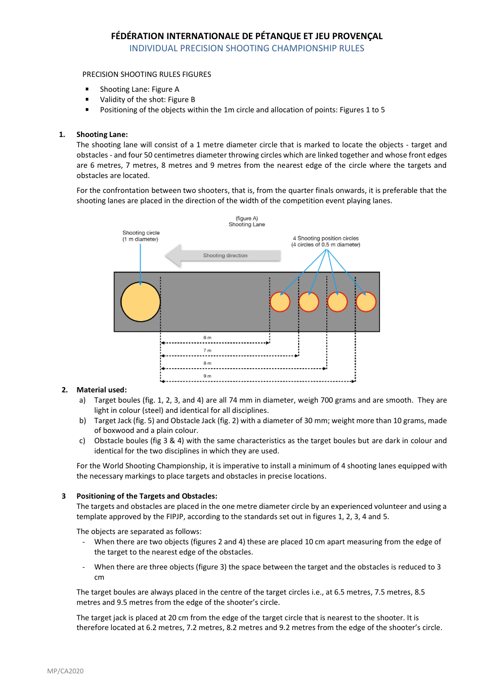# **FÉDÉRATION INTERNATIONALE DE PÉTANQUE ET JEU PROVENÇAL**

INDIVIDUAL PRECISION SHOOTING CHAMPIONSHIP RULES

### PRECISION SHOOTING RULES FIGURES

- Shooting Lane: Figure A
- × Validity of the shot: Figure B
- Positioning of the objects within the 1m circle and allocation of points: Figures 1 to 5

### **1. Shooting Lane:**

The shooting lane will consist of a 1 metre diameter circle that is marked to locate the objects - target and obstacles - and four 50 centimetres diameter throwing circles which are linked together and whose front edges are 6 metres, 7 metres, 8 metres and 9 metres from the nearest edge of the circle where the targets and obstacles are located.

For the confrontation between two shooters, that is, from the quarter finals onwards, it is preferable that the shooting lanes are placed in the direction of the width of the competition event playing lanes.



### **2. Material used:**

- a) Target boules (fig. 1, 2, 3, and 4) are all 74 mm in diameter, weigh 700 grams and are smooth. They are light in colour (steel) and identical for all disciplines.
- b) Target Jack (fig. 5) and Obstacle Jack (fig. 2) with a diameter of 30 mm; weight more than 10 grams, made of boxwood and a plain colour.
- c) Obstacle boules (fig 3 & 4) with the same characteristics as the target boules but are dark in colour and identical for the two disciplines in which they are used.

For the World Shooting Championship, it is imperative to install a minimum of 4 shooting lanes equipped with the necessary markings to place targets and obstacles in precise locations.

#### **3 Positioning of the Targets and Obstacles:**

The targets and obstacles are placed in the one metre diameter circle by an experienced volunteer and using a template approved by the FIPJP, according to the standards set out in figures 1, 2, 3, 4 and 5.

The objects are separated as follows:

- When there are two objects (figures 2 and 4) these are placed 10 cm apart measuring from the edge of the target to the nearest edge of the obstacles.
- When there are three objects (figure 3) the space between the target and the obstacles is reduced to 3 cm

The target boules are always placed in the centre of the target circles i.e., at 6.5 metres, 7.5 metres, 8.5 metres and 9.5 metres from the edge of the shooter's circle.

The target jack is placed at 20 cm from the edge of the target circle that is nearest to the shooter. It is therefore located at 6.2 metres, 7.2 metres, 8.2 metres and 9.2 metres from the edge of the shooter's circle.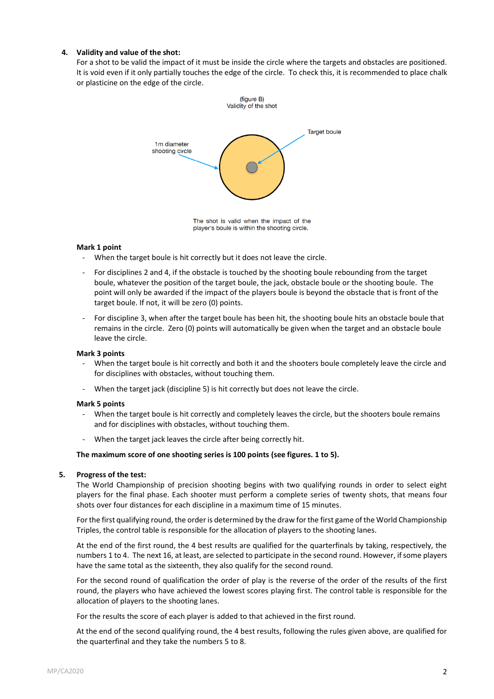### **4. Validity and value of the shot:**

For a shot to be valid the impact of it must be inside the circle where the targets and obstacles are positioned. It is void even if it only partially touches the edge of the circle. To check this, it is recommended to place chalk or plasticine on the edge of the circle.



The shot is valid when the impact of the player's boule is within the shooting circle.

#### **Mark 1 point**

- When the target boule is hit correctly but it does not leave the circle.
- For disciplines 2 and 4, if the obstacle is touched by the shooting boule rebounding from the target boule, whatever the position of the target boule, the jack, obstacle boule or the shooting boule. The point will only be awarded if the impact of the players boule is beyond the obstacle that is front of the target boule. If not, it will be zero (0) points.
- For discipline 3, when after the target boule has been hit, the shooting boule hits an obstacle boule that remains in the circle. Zero (0) points will automatically be given when the target and an obstacle boule leave the circle.

#### **Mark 3 points**

- When the target boule is hit correctly and both it and the shooters boule completely leave the circle and for disciplines with obstacles, without touching them.
- When the target jack (discipline 5) is hit correctly but does not leave the circle.

#### **Mark 5 points**

- When the target boule is hit correctly and completely leaves the circle, but the shooters boule remains and for disciplines with obstacles, without touching them.
- When the target jack leaves the circle after being correctly hit.

#### **The maximum score of one shooting series is 100 points (see figures. 1 to 5).**

#### **5. Progress of the test:**

The World Championship of precision shooting begins with two qualifying rounds in order to select eight players for the final phase. Each shooter must perform a complete series of twenty shots, that means four shots over four distances for each discipline in a maximum time of 15 minutes.

For the first qualifying round, the order is determined by the draw for the first game of the World Championship Triples, the control table is responsible for the allocation of players to the shooting lanes.

At the end of the first round, the 4 best results are qualified for the quarterfinals by taking, respectively, the numbers 1 to 4. The next 16, at least, are selected to participate in the second round. However, if some players have the same total as the sixteenth, they also qualify for the second round.

For the second round of qualification the order of play is the reverse of the order of the results of the first round, the players who have achieved the lowest scores playing first. The control table is responsible for the allocation of players to the shooting lanes.

For the results the score of each player is added to that achieved in the first round.

At the end of the second qualifying round, the 4 best results, following the rules given above, are qualified for the quarterfinal and they take the numbers 5 to 8.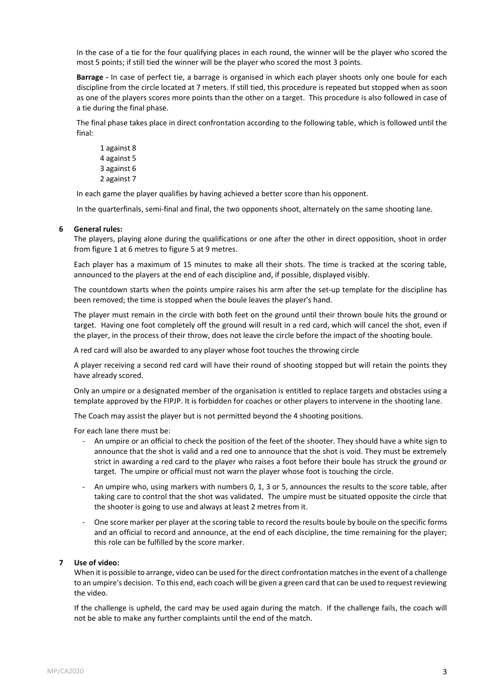In the case of a tie for the four qualifying places in each round, the winner will be the player who scored the most 5 points; if still tied the winner will be the player who scored the most 3 points.

**Barrage -** In case of perfect tie, a barrage is organised in which each player shoots only one boule for each discipline from the circle located at 7 meters. If still tied, this procedure is repeated but stopped when as soon as one of the players scores more points than the other on a target. This procedure is also followed in case of a tie during the final phase.

The final phase takes place in direct confrontation according to the following table, which is followed until the final:

In each game the player qualifies by having achieved a better score than his opponent.

In the quarterfinals, semi-final and final, the two opponents shoot, alternately on the same shooting lane.

#### **6 General rules:**

The players, playing alone during the qualifications or one after the other in direct opposition, shoot in order from figure 1 at 6 metres to figure 5 at 9 metres.

Each player has a maximum of 15 minutes to make all their shots. The time is tracked at the scoring table, announced to the players at the end of each discipline and, if possible, displayed visibly.

The countdown starts when the points umpire raises his arm after the set-up template for the discipline has been removed; the time is stopped when the boule leaves the player's hand.

The player must remain in the circle with both feet on the ground until their thrown boule hits the ground or target. Having one foot completely off the ground will result in a red card, which will cancel the shot, even if the player, in the process of their throw, does not leave the circle before the impact of the shooting boule.

A red card will also be awarded to any player whose foot touches the throwing circle

A player receiving a second red card will have their round of shooting stopped but will retain the points they have already scored.

Only an umpire or a designated member of the organisation is entitled to replace targets and obstacles using a template approved by the FIPJP. It is forbidden for coaches or other players to intervene in the shooting lane.

The Coach may assist the player but is not permitted beyond the 4 shooting positions.

For each lane there must be:

- An umpire or an official to check the position of the feet of the shooter. They should have a white sign to announce that the shot is valid and a red one to announce that the shot is void. They must be extremely strict in awarding a red card to the player who raises a foot before their boule has struck the ground or target. The umpire or official must not warn the player whose foot is touching the circle.
- An umpire who, using markers with numbers 0, 1, 3 or 5, announces the results to the score table, after taking care to control that the shot was validated. The umpire must be situated opposite the circle that the shooter is going to use and always at least 2 metres from it.
- One score marker per player at the scoring table to record the results boule by boule on the specific forms and an official to record and announce, at the end of each discipline, the time remaining for the player; this role can be fulfilled by the score marker.

## **7 Use of video:**

When it is possible to arrange, video can be used for the direct confrontation matches in the event of a challenge to an umpire's decision. To this end, each coach will be given a green card that can be used to request reviewing the video.

If the challenge is upheld, the card may be used again during the match. If the challenge fails, the coach will not be able to make any further complaints until the end of the match.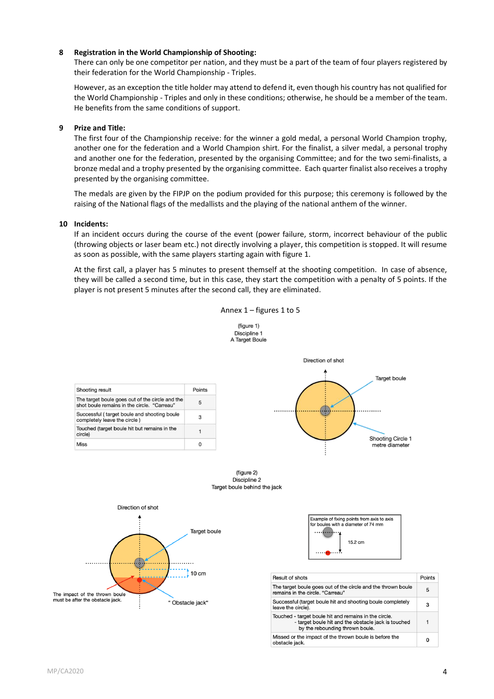### **8 Registration in the World Championship of Shooting:**

There can only be one competitor per nation, and they must be a part of the team of four players registered by their federation for the World Championship - Triples.

However, as an exception the title holder may attend to defend it, even though his country has not qualified for the World Championship - Triples and only in these conditions; otherwise, he should be a member of the team. He benefits from the same conditions of support.

### **9 Prize and Title:**

The first four of the Championship receive: for the winner a gold medal, a personal World Champion trophy, another one for the federation and a World Champion shirt. For the finalist, a silver medal, a personal trophy and another one for the federation, presented by the organising Committee; and for the two semi-finalists, a bronze medal and a trophy presented by the organising committee. Each quarter finalist also receives a trophy presented by the organising committee.

The medals are given by the FIPJP on the podium provided for this purpose; this ceremony is followed by the raising of the National flags of the medallists and the playing of the national anthem of the winner.

### **10 Incidents:**

If an incident occurs during the course of the event (power failure, storm, incorrect behaviour of the public (throwing objects or laser beam etc.) not directly involving a player, this competition is stopped. It will resume as soon as possible, with the same players starting again with figure 1.

At the first call, a player has 5 minutes to present themself at the shooting competition. In case of absence, they will be called a second time, but in this case, they start the competition with a penalty of 5 points. If the player is not present 5 minutes after the second call, they are eliminated.

Annex 1 – figures 1 to 5





 $10 \text{ cm}$ 

" Obstacle jack"

| Result of shots                                                                                                                                 | Points |
|-------------------------------------------------------------------------------------------------------------------------------------------------|--------|
| The target boule goes out of the circle and the thrown boule<br>remains in the circle. "Carreau"                                                | 5      |
| Successful (target boule hit and shooting boule completely<br>leave the circle).                                                                | з      |
| Touched - target boule hit and remains in the circle.<br>- target boule hit and the obstacle jack is touched<br>by the rebounding thrown boule. | 1      |
| Missed or the impact of the thrown boule is before the<br>obstacle jack.                                                                        | o      |

The impact of the thrown boule must be after the obstacle jack.